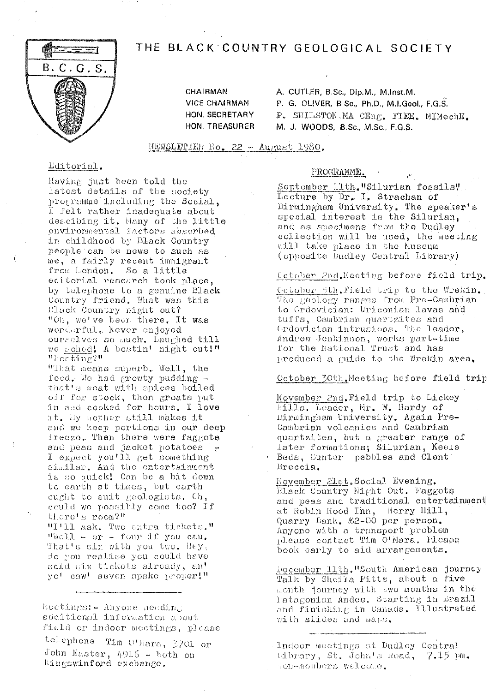# THE BLACK COUNTRY GEOLOGICAL SOCIETY



**CHAIRMAN VICE CHAIRMAN** HON. SECRETARY HON, TREASURER A. CUTLER, B.Sc., Dip.M., M.Inst.M. P. G. OLIVER, B Sc., Ph.D., M.I.Geol., F.G.S. P. SHILSTON.MA CEng. FIEE. MIMechE. M. J. WOODS, B.Sc., M.Sc., F.G.S.

NEWSLETTER Ho. 22 - August 1980.

### Editorial.

Having just been told the latest details of the society programme including the Social, I felt rather inadequate about descibing it. Hany of the little environmental factors absorbed in childhood by Black Country people can be news to such as me, a fairly recent immigrant from London. So a little editorial research took place, by telephone to a genuine Black Country friend. What was this Elack Country might out? "Oh, we've been there. It was wonderful. Never enjoyed ourselves so much. Laughed till we ached! A bostin' night out!" "hosting?"

"That means superb. Well, the food. We had growty pudding that's meat with spices boiled off for stock, then greats put in and cooked for hours. I love it, My mother still makes it and we keep portions in our deep freeze. Then there were faggots and peas and jacket potatoes similar. And the entertainment is so quick! Can be a bit down to earth at times, but earth ought to suit geologists. Ch, could we possibly come too? If there's room?"

"I'll ask, Two extra tickets." "Well - er - four if you can. That's six with you two. Hey, do you realige you could have sold six tickets already, an' yo<sup>t</sup> caw' aeven spake proper!"

Mootings: - Anyone needing additional information about field or indoor meetings, please telephone Tim O'Hara, 3701 or John Easter, 4916 - both on Kingswinford exchange.

#### PROGRAMME.

September 11th. "Silurian fossils" Lecture by Dr. I. Strachan of Birmingham University. The speaker's special interest is the Silurian, and as specimens from the Dudley collection will be used, the meeting aill take place in the Museum (opposite Dudley Central Library)

Cetober 2nd. Meeting before field trip.

Cetober 5th. Field trip to the Wrekin.<br>The geology ranges from Pre-Cambrian to Ordovician: Uriconian lavas and tuffs, Cambrian quartzites and Ordovician intrusions. The leader, Andrew Jenkinson, works part-time for the National Trust and has produced a muide to the Wrekin area.

October 30th Meeting before field trip

November 2nd. Field trip to Lickey Hills, Leader, Mr. W. Hardy of Dirmingham University. Again Pre-Cambrian volcanics and Cambrian quartzites, but a greater range of later formations; Silurian, Keele · Beds, Bunter pebbles and Clent Breccia.

November 21st. Social Evening. Elack Country Might Out. Faggots and peas and traditional entertainment at Robin Hood Inn, Merry Hill, Quarry Bank. \$2-00 per person. Anyone with a transport problem please contact Tim O'Mara. Please book early to aid arrangements.

Docember 11th. "South American journey Talk by Sheila Pitts, about a five month journey with two months in the Tatagonian Andes. Starting in Brazil and finishing in Canada, Illustrated with slides and maps.

Indoor meetings at Dudley Central tibrary, St. John's Read, 7.15 pm. son-mombers welcome.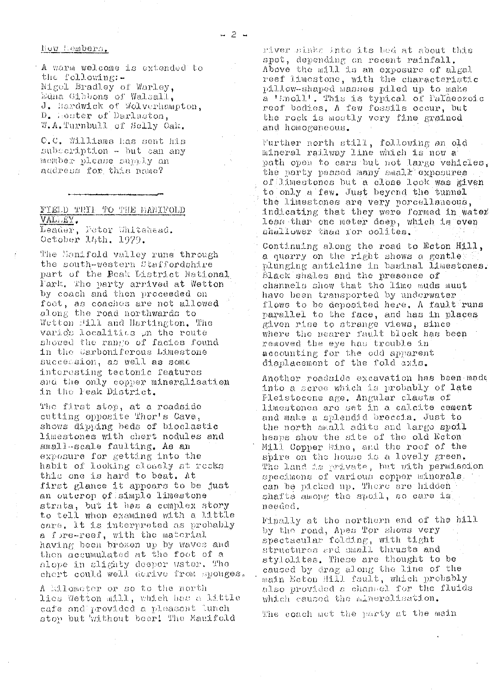hew hembers.

A warm welcome is extended to the following:-Nigel Bradley of Warley, Edna Gibbons of Walsall. J. Hardwick of Wolverhampton. D. Hoster of Darlaston, W.A.Turnbull of Selly Oak.

O.C. Williams has sent his subscription - but can any momber please supply an audress for this name?

# FIELD TRIL TO THE MARIFOLD VALIAY.

Leader, Feter Whitehead. October 14th, 1979.

The Menifold valley runs through the south-western Staffordshire part of the Beak District National Fark, The party arrived at Wetton by coach and then proceeded on foot, as coaches are not allowed along the road northwards to Wetton Hill and Hartington, The varios localities un the route showed the range of facies found in the Carboniferous Limestone succession, as well as some interesting tectomic features and the only copper mineralisation in the Feak District.

The first step, at a roadside cutting opposite Thor's Cave, shows dipping beds of bioclastic limestones with chert nodules and small-scale faulting. As an exposure for getting into the habit of looking closely at recks this one is hard to beat. At first glance it appears to be just an outcrop of simple limestone strata, but it has a complex story to tell when examined with a little care. It is interpreted as probably a fore-reef, with the material having been broken up by waves and then accumulated at the foot of a alope in alighty deeper water. The chert could well derive from sponges.

A kilometer or so to the north lies Wetton mill, which has a little cafe and provided a pleasant lunch stop but without beer! The Manifold

river sinks into its bed at about this spot, depending on recent rainfall.<br>Above the mill is an exposure of algal reef limestone, with the characteristic pillow-shaped masses piled up to make a 'Enoll'. This is typical of Palaeozoic reef bodies. A few fossils occur, but the rock is mostly very fine grained and homogeneous.

Further north still, following an old mineral railway line which is now a path open to cars but not large venicles, the party passed many small exposures of linestones but a close look was given to only a few. Just beyond the tunnel the limestones are very porcellaneous, indicating that they were formed in water less than one meter deep, which is even shallower than for colites.

Continuing along the road to Ecton Hill, a quarry on the right shows a gentle plunging anticline in basinal limestones. Black shales and the presence of channels show that the lime muds must have been transported by underwater flows to be deposited here. A fault runs parallel to the face, and has in places given rise to strange views, since where the mearer fault block has been removed the eye has trouble in accounting for the odd apparent displacement of the fold axis.

Another roadside excavation has been made into a seree which is probably of late Pleistocene age. Angular clasts of limestones are set in a calcite coment and make a splendid breccia. Just to the north small adits and large spoil heaps show the site of the old Ecton Mill Copper Mine, and the roof of the spire on the house is a lovely green. The land is private, but with permission specimens of various copper minerals. can be picked up. There are hidden shafts among the spoil, so care is needod.

Finally at the northern end of the hill by the road, Apes Tor shows very spectacular folding, with tight structures and small thrusts and stylolites. These are thought to be caused by drag along the line of the main Ecton Hill fault, which probably also provided a channel for the fluids which caused the mineralisation.

The coach met the party at the main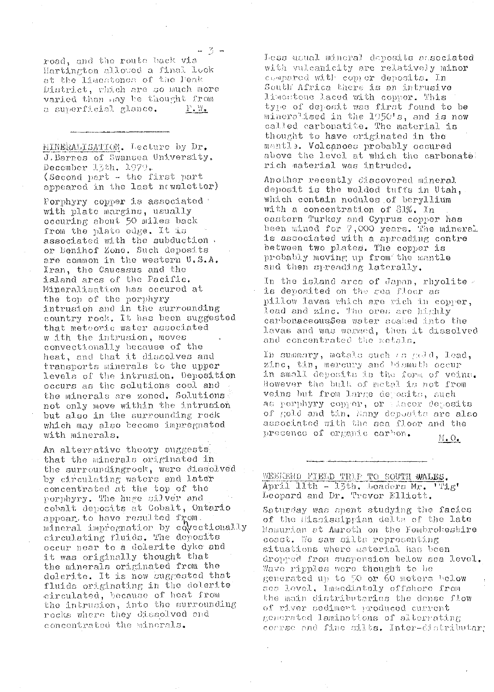road, and the route back via Hartington allowed a final look at the limestones of the Peak District, which are so much more varied than may be thought from a superficial glance.  $F^*M^{\bullet}$ 

MINERALISATION. Lecture by Dr. J. Barnes of Swansea University. December 15th. 1979. (Second part - the first part appeared in the last newsletter)

Porphyry copper is associated with plate margins, usually occuring about 50 miles back from the plate edge. It is associated with the subduction. or Benihof Zone. Such deposits are common in the western U.S.A. Iran, the Caucasus and the island arcs of the Pacific. Mineralisation has occured at the top of the porphyry intrusion and in the surrounding country rock. It has been suggested that meteoric water associated w ith the intrusion, moves convectionally because of the heat, and that it dissolves and transports minerals to the upper levels of the intrusion. Deposition occurs as the solutions cool and the minerals are zoned. Solutions not only move within the intrusion but also in the surrounding rock which may also become impregnated with minerals.

An alterrative theory suggests that the minerals originated in the surroundingrock, were dissolved by circulating waters and later concentrated at the top of the porphyry. The huge silver and cobalt deposits at Cobalt, Ontario appear to have resulted from. mineral impregnation by covectionally circulating fluids. The deposits occur near to a dolerite dyke and it was originally thought that the minerals originated from the dolerite. It is now suggested that fluids originating in the dolerite circulated, because of heat from the intrusion, into the surrounding rocks where they dissolved and concontrated the minerals.

Less usual mineral deposits sasociated with vulcanicity are relatively minor compared with copper deposits. In South Africa there is an intrusive liscutone laced with copper. This type of deposit was first found to be mineralised in the 1950's, and is now called carbonatite. The material is thought to have originated in the mantle. Volcanoes probably occured above the level at which the carbonate: rich material was intruded.

Another recently discovered mineral deposit is the wolded tuffs in Utah, which contain nodules of beryllium with a concentration of  $81\%$ . In eastern Turkey and Cyprus copper has been mined for 7,000 years. The mineral is associated with a spreading centre between two plates. The copper is probably moving up from the mantle and then spreading laterally.

In the island arcs of Japan, rhyolite  $\sim$ is deposited on the sea floor as pillow lavas which are rich in copper, lead and zinc. The ores are highly carbonaceous\$ea water soaked into the lavas and was warmed, then it dissolved and concentrated the metals.

In summary, motals such as gold, lead, zinc, tin, mercury and bismuth occur in small deposits in the form of veins. However the bulk of metal is not from veins but from large deposits, such as porphyry copper, or placer deposits of gold and tin. Many deposits are also associated with the sea floor and the presence of organic carbon.  $M_{\bullet} O_{\bullet}$ 

WEEKEND FIELD TRIP TO SOUTH WALES. April 11th - 13th. Loaders Mr. TTig' Leopard and Dr. Trevor Elliott.

Saturday was spent studying the facies of the Elssissippian delta of the late Mamurian et Amroth on the Fembrokeshire coast. We saw silts representing situations where material has been dropped from suspension below sea level. Wave ripples were thought to be generated up to 50 or 60 meters below ses level, Immediately offshore from the main distributaries the dense flow of river sediment produced current generated laminations of alterrating coarse and fine silts. Inter-distributar: